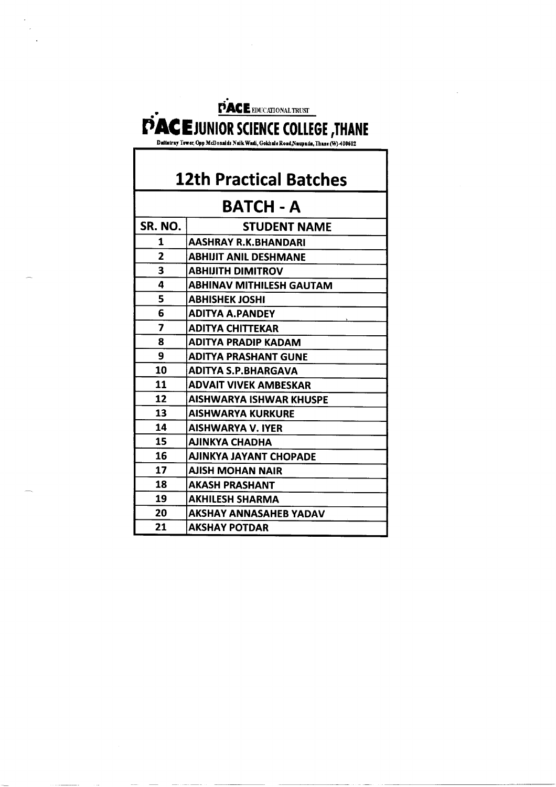PACE EDUCATIONAL TRUST **EXACE JUNIOR SCIENCE COLLEGE, THANE** 

### **12th Practical Batches**

#### **BATCH - A**

| SR. NO. | <b>STUDENT NAME</b>            |
|---------|--------------------------------|
| 1       | AASHRAY R.K.BHANDARI           |
| 2       | <b>ABHIJIT ANIL DESHMANE</b>   |
| 3       | <b>ABHIJITH DIMITROV</b>       |
| 4       | ABHINAV MITHILESH GAUTAM       |
| 5       | <b>ABHISHEK JOSHI</b>          |
| 6       | <b>ADITYA A.PANDEY</b>         |
| 7       | ADITYA CHITTEKAR               |
| 8       | ADITYA PRADIP KADAM            |
| 9       | <b>ADITYA PRASHANT GUNE</b>    |
| 10      | <b>ADITYA S.P.BHARGAVA</b>     |
| 11      | ADVAIT VIVEK AMBESKAR          |
| 12      | <b>AISHWARYA ISHWAR KHUSPE</b> |
| 13      | <b>AISHWARYA KURKURE</b>       |
| 14      | <b>AISHWARYA V. IYER</b>       |
| 15      | <b>AJINKYA CHADHA</b>          |
| 16      | <b>AJINKYA JAYANT CHOPADE</b>  |
| 17      | AJISH MOHAN NAIR               |
| 18      | <b>AKASH PRASHANT</b>          |
| 19      | <b>AKHILESH SHARMA</b>         |
| 20      | AKSHAY ANNASAHEB YADAV         |
| 21      | <b>AKSHAY POTDAR</b>           |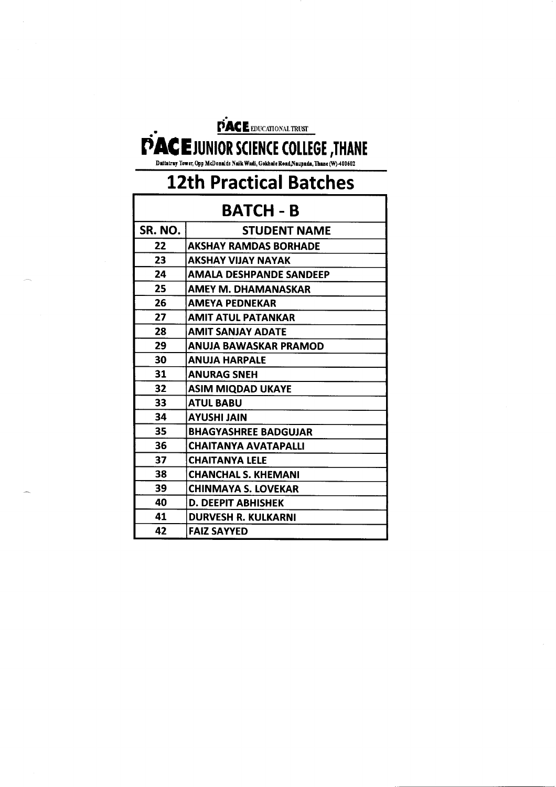## PAC E EDUCATIONAL TRUST PACE JUNIOR SCIENCE COLLEGE , THANE

Dattatray Tower, Opp McDonalds Naik Wadi, Gokhale Road,Naupada, Thane (W)-400602

# **12th Practical Batches**

### **BATCH - B**

| SR. NO. | <b>STUDENT NAME</b>            |
|---------|--------------------------------|
| 22      | <b>AKSHAY RAMDAS BORHADE</b>   |
| 23      | AKSHAY VIJAY NAYAK             |
| 24      | <b>AMALA DESHPANDE SANDEEP</b> |
| 25      | AMEY M. DHAMANASKAR            |
| 26      | <b>AMEYA PEDNEKAR</b>          |
| 27      | <b>AMIT ATUL PATANKAR</b>      |
| 28      | <b>AMIT SANJAY ADATE</b>       |
| 29      | ANUJA BAWASKAR PRAMOD          |
| 30      | <b>ANUJA HARPALE</b>           |
| 31      | <b>ANURAG SNEH</b>             |
| 32      | <b>ASIM MIQDAD UKAYE</b>       |
| 33      | <b>ATUL BABU</b>               |
| 34      | <b>AYUSHI JAIN</b>             |
| 35      | <b>BHAGYASHREE BADGUJAR</b>    |
| 36      | <b>CHAITANYA AVATAPALLI</b>    |
| 37      | <b>CHAITANYA LELE</b>          |
| 38      | <b>CHANCHAL S. KHEMANI</b>     |
| 39      | <b>CHINMAYA S. LOVEKAR</b>     |
| 40      | D. DEEPIT ABHISHEK             |
| 41      | <b>DURVESH R. KULKARNI</b>     |
| 42      | <b>FAIZ SAYYED</b>             |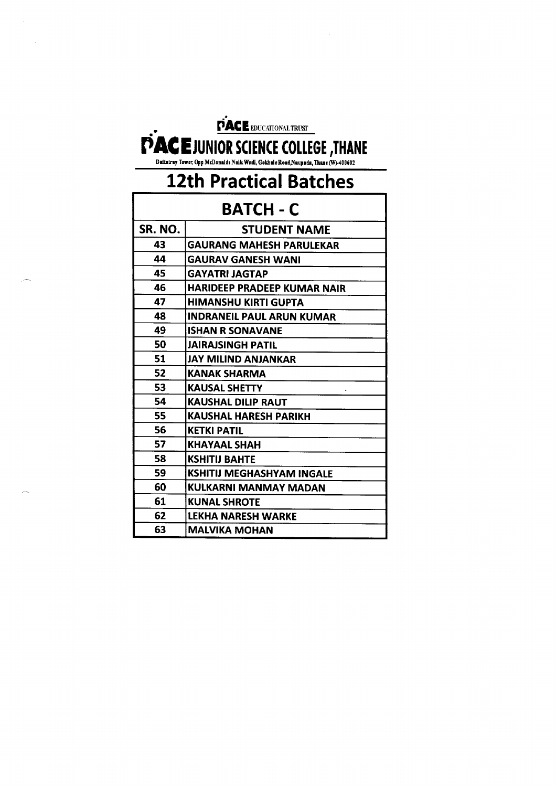# PACE EDUCATIONAL TRUST PACE JUNIOR SCIENCE COLLEGE , THANE

Dattairay Tower, Opp McDonalds Naik Wadi, Gokhale Road,Naupada, Thane (W) 400602

# **12th Practical Batches**

| <b>BATCH - C</b> |                                    |
|------------------|------------------------------------|
| SR. NO.          | <b>STUDENT NAME</b>                |
| 43               | <b>GAURANG MAHESH PARULEKAR</b>    |
| 44               | <b>GAURAV GANESH WANI</b>          |
| 45               | <b>GAYATRI JAGTAP</b>              |
| 46               | <b>HARIDEEP PRADEEP KUMAR NAIR</b> |
| 47               | HIMANSHU KIRTI GUPTA               |
| 48               | <b>INDRANEIL PAUL ARUN KUMAR</b>   |
| 49               | <b>ISHAN R SONAVANE</b>            |
| 50               | <b>JAIRAJSINGH PATIL</b>           |
| 51               | <b>JAY MILIND ANJANKAR</b>         |
| 52               | KANAK SHARMA                       |
| 53               | <b>KAUSAL SHETTY</b>               |
| 54               | <b>KAUSHAL DILIP RAUT</b>          |
| 55               | <b>KAUSHAL HARESH PARIKH</b>       |
| 56               | <b>KETKI PATIL</b>                 |
| 57               | KHAYAAL SHAH                       |
| 58               | <b>KSHITIJ BAHTE</b>               |
| 59               | KSHITIJ MEGHASHYAM INGALE          |
| 60               | KULKARNI MANMAY MADAN              |
| 61               | <b>KUNAL SHROTE</b>                |
| 62               | <b>LEKHA NARESH WARKE</b>          |
| 63               | <b>MALVIKA MOHAN</b>               |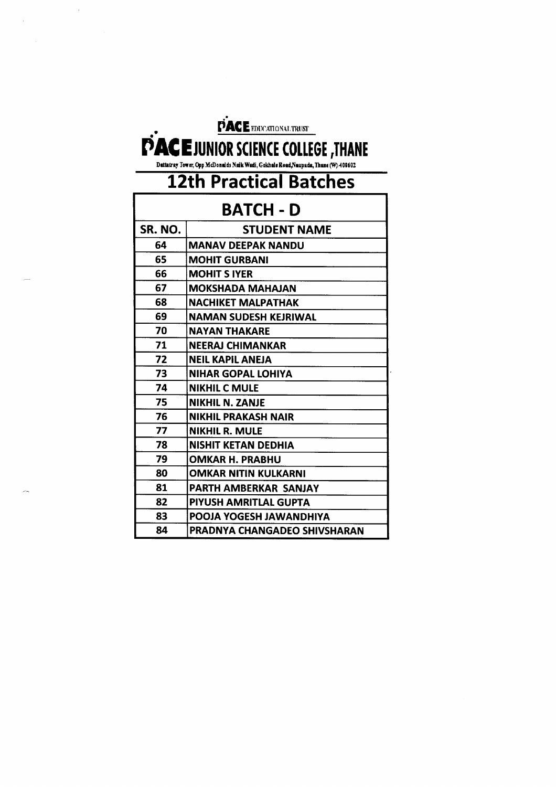# PACE EDUCATIONAL TRUST

# DACE JUNIOR SCIENCE COLLEGE, THANE

| <b>BATCH - D</b> |                              |
|------------------|------------------------------|
| SR. NO.          | <b>STUDENT NAME</b>          |
| 64               | <b>MANAV DEEPAK NANDU</b>    |
| 65               | <b>MOHIT GURBANI</b>         |
| 66               | <b>MOHIT S IYER</b>          |
| 67               | <b>MOKSHADA MAHAJAN</b>      |
| 68               | <b>NACHIKET MALPATHAK</b>    |
| 69               | <b>NAMAN SUDESH KEJRIWAL</b> |
| 70               | NAYAN THAKARE                |
| 71               | <b>NEERAJ CHIMANKAR</b>      |
| 72               | <b>NEIL KAPIL ANEIA</b>      |
| 73               | <b>NIHAR GOPAL LOHIYA</b>    |
| 74               | <b>NIKHIL C MULE</b>         |
| 75               | <b>NIKHIL N. ZANJE</b>       |
| 76               | <b>NIKHIL PRAKASH NAIR</b>   |
| 77               | <b>NIKHIL R. MULE</b>        |
| 78               | NISHIT KETAN DEDHIA          |
| 79               | <b>OMKAR H. PRABHU</b>       |
| 80               | <b>OMKAR NITIN KULKARNI</b>  |
| 81               | PARTH AMBERKAR SANJAY        |
| 82               | PIYUSH AMRITLAL GUPTA        |
| 83               | POOJA YOGESH JAWANDHIYA      |
| 84               | PRADNYA CHANGADEO SHIVSHARAN |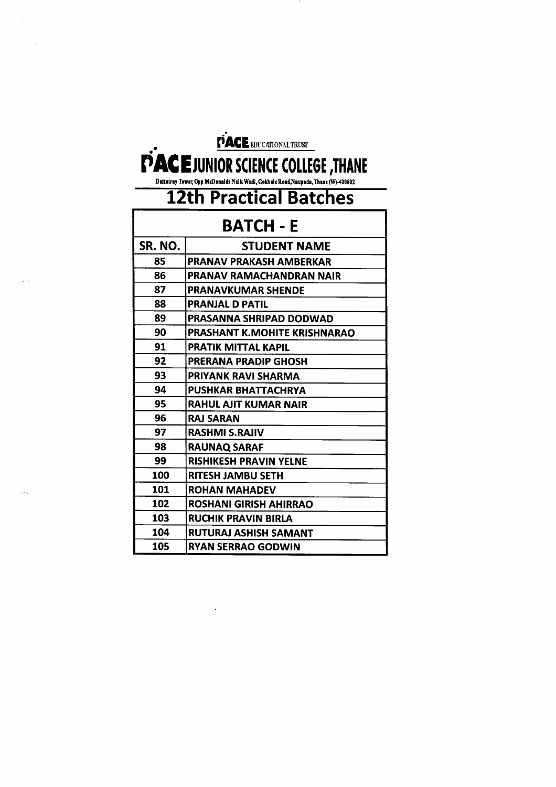| PACE EDUCATIONAL TRUST                                                                                                         |                                     |  |
|--------------------------------------------------------------------------------------------------------------------------------|-------------------------------------|--|
| <b>PACE JUNIOR SCIENCE COLLEGE, THANE</b><br>Dattatray Tower, Opp McDonalds Naik Wadi, Gokhale Road, Naupada, Thane (W)-400602 |                                     |  |
| <b>12th Practical Batches</b>                                                                                                  |                                     |  |
|                                                                                                                                | BATCH - E                           |  |
| SR. NO.                                                                                                                        | <b>STUDENT NAME</b>                 |  |
| 85                                                                                                                             | <b>PRANAV PRAKASH AMBERKAR</b>      |  |
| 86                                                                                                                             | PRANAV RAMACHANDRAN NAIR            |  |
| 87                                                                                                                             | <b>PRANAVKUMAR SHENDE</b>           |  |
| 88                                                                                                                             | <b>PRANJAL D PATIL</b>              |  |
| 89                                                                                                                             | <b>PRASANNA SHRIPAD DODWAD</b>      |  |
| 90                                                                                                                             | <b>PRASHANT K.MOHITE KRISHNARAO</b> |  |
| 91                                                                                                                             | PRATIK MITTAL KAPIL                 |  |
| 92                                                                                                                             | <b>PRERANA PRADIP GHOSH</b>         |  |
| 93                                                                                                                             | <b>PRIYANK RAVI SHARMA</b>          |  |
| 94                                                                                                                             | <b>PUSHKAR BHATTACHRYA</b>          |  |
| 95                                                                                                                             | <b>RAHUL AJIT KUMAR NAIR</b>        |  |
| 96                                                                                                                             | <b>RAJ SARAN</b>                    |  |
| 97                                                                                                                             | <b>RASHMI S.RAJIV</b>               |  |
| 98                                                                                                                             | <b>RAUNAQ SARAF</b>                 |  |
| 99                                                                                                                             | <b>RISHIKESH PRAVIN YELNE</b>       |  |
| 100                                                                                                                            | <b>RITESH JAMBU SETH</b>            |  |
| 101                                                                                                                            | <b>ROHAN MAHADEV</b>                |  |
| 102                                                                                                                            | <b>ROSHANI GIRISH AHIRRAO</b>       |  |
| 103                                                                                                                            | <b>RUCHIK PRAVIN BIRLA</b>          |  |
| 104                                                                                                                            | <b>RUTURAJ ASHISH SAMANT</b>        |  |
| 105                                                                                                                            | RYAN SERRAO GODWIN                  |  |

 $\mathcal{L}^{\text{max}}_{\text{max}}$  and  $\mathcal{L}^{\text{max}}_{\text{max}}$ 

 $\frac{1}{2} \sum_{i=1}^{n} \frac{1}{2} \sum_{j=1}^{n} \frac{1}{2} \sum_{j=1}^{n} \frac{1}{2} \sum_{j=1}^{n} \frac{1}{2} \sum_{j=1}^{n} \frac{1}{2} \sum_{j=1}^{n} \frac{1}{2} \sum_{j=1}^{n} \frac{1}{2} \sum_{j=1}^{n} \frac{1}{2} \sum_{j=1}^{n} \frac{1}{2} \sum_{j=1}^{n} \frac{1}{2} \sum_{j=1}^{n} \frac{1}{2} \sum_{j=1}^{n} \frac{1}{2} \sum_{j=1}^{n$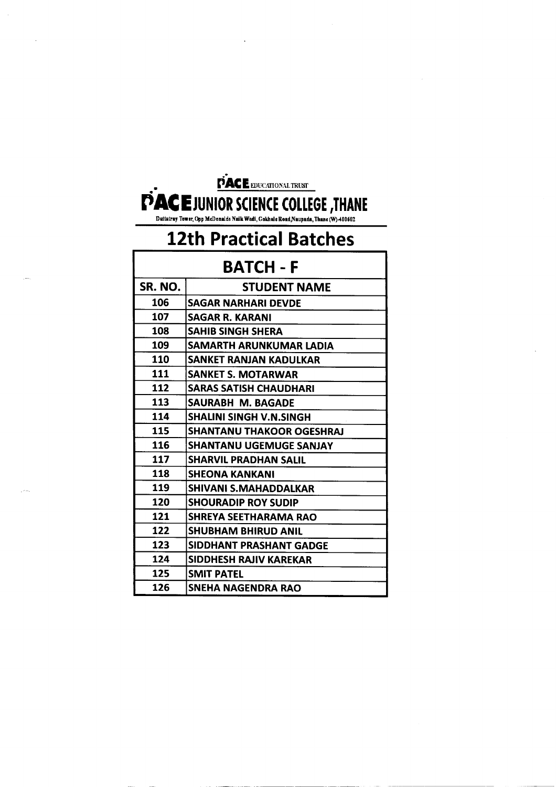

Datlatraj Toner, Opp McDonald! Naik Wadi, GokhaIcRoad,Nau;ada,Thane (WJ400S02

# **12th Practical Batches**

| 12th Practical Batches |                                  |  |
|------------------------|----------------------------------|--|
| BATCH - F              |                                  |  |
| SR. NO.                | <b>STUDENT NAME</b>              |  |
| 106                    | SAGAR NARHARI DEVDE              |  |
| 107                    | <b>SAGAR R. KARANI</b>           |  |
| 108                    | <b>SAHIB SINGH SHERA</b>         |  |
| 109                    | SAMARTH ARUNKUMAR LADIA          |  |
| 110                    | SANKET RANJAN KADULKAR           |  |
| 111                    | <b>SANKET S. MOTARWAR</b>        |  |
| 112                    | <b>SARAS SATISH CHAUDHARI</b>    |  |
| 113                    | SAURABH M. BAGADE                |  |
| 114                    | <b>SHALINI SINGH V.N.SINGH</b>   |  |
| 115                    | <b>SHANTANU THAKOOR OGESHRAJ</b> |  |
| 116                    | <b>SHANTANU UGEMUGE SANJAY</b>   |  |
| 117                    | <b>SHARVIL PRADHAN SALIL</b>     |  |
| 118                    | <b>SHEONA KANKANI</b>            |  |
| 119                    | <b>SHIVANI S.MAHADDALKAR</b>     |  |
| 120                    | <b>SHOURADIP ROY SUDIP</b>       |  |
| 121                    | <b>SHREYA SEETHARAMA RAO</b>     |  |
| 122                    | <b>SHUBHAM BHIRUD ANIL</b>       |  |
| 123                    | SIDDHANT PRASHANT GADGE          |  |
| 124                    | <b>SIDDHESH RAJIV KAREKAR</b>    |  |
| 125                    | <b>SMIT PATEL</b>                |  |
| 126                    | SNEHA NAGENDRA RAO               |  |